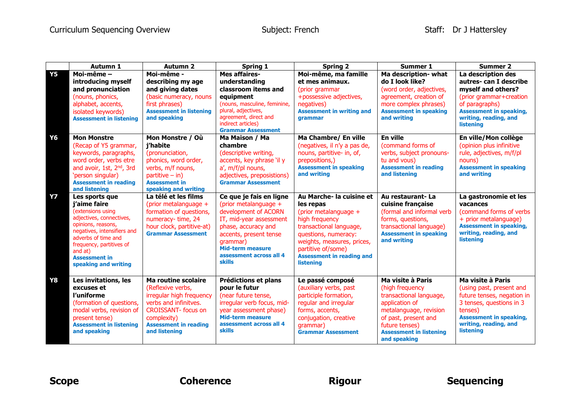|           | Autumn 1                                                                                                                                                                                                                                           | <b>Autumn 2</b>                                                                                                                                                                             | <b>Spring 1</b>                                                                                                                                                                                                                         | <b>Spring 2</b>                                                                                                                                                                                                                                 | <b>Summer 1</b>                                                                                                                                                                                         | <b>Summer 2</b>                                                                                                                                                                                   |
|-----------|----------------------------------------------------------------------------------------------------------------------------------------------------------------------------------------------------------------------------------------------------|---------------------------------------------------------------------------------------------------------------------------------------------------------------------------------------------|-----------------------------------------------------------------------------------------------------------------------------------------------------------------------------------------------------------------------------------------|-------------------------------------------------------------------------------------------------------------------------------------------------------------------------------------------------------------------------------------------------|---------------------------------------------------------------------------------------------------------------------------------------------------------------------------------------------------------|---------------------------------------------------------------------------------------------------------------------------------------------------------------------------------------------------|
| <b>Y5</b> | Moi-même -<br>introducing myself<br>and pronunciation<br>(nouns, phonics,<br>alphabet, accents,<br>isolated keywords)<br><b>Assessment in listening</b>                                                                                            | Moi-même -<br>describing my age<br>and giving dates<br>(basic numeracy, nouns<br>first phrases)<br><b>Assessment in listening</b><br>and speaking                                           | <b>Mes affaires-</b><br>understanding<br>classroom items and<br>equipment<br>(nouns, masculine, feminine,<br>plural, adjectives,<br>agreement, direct and<br>indirect articles)<br><b>Grammar Assessment</b>                            | Moi-même, ma famille<br>et mes animaux.<br>(prior grammar<br>+possessive adjectives,<br>negatives)<br><b>Assessment in writing and</b><br>grammar                                                                                               | Ma description- what<br>do I look like?<br>(word order, adjectives,<br>agreement, creation of<br>more complex phrases)<br><b>Assessment in speaking</b><br>and writing                                  | La description des<br>autres- can I describe<br>myself and others?<br>(prior grammar+creation<br>of paragraphs)<br><b>Assessment in speaking,</b><br>writing, reading, and<br><b>listening</b>    |
| <b>Y6</b> | <b>Mon Monstre</b><br>(Recap of Y5 grammar,<br>keywords, paragraphs,<br>word order, verbs etre<br>and avoir, 1st, 2 <sup>nd</sup> , 3rd<br>'person singular)<br><b>Assessment in reading</b><br>and listening                                      | Mon Monstre / Où<br>j'habite<br>(pronunciation,<br>phonics, word order,<br>verbs, m/f nouns,<br>$partitive - in)$<br><b>Assessment in</b><br>speaking and writing                           | Ma Maison / Ma<br>chambre<br>(descriptive writing,<br>accents, key phrase 'il y<br>a', m/f/pl nouns,<br>adjectives, preposistions)<br><b>Grammar Assessment</b>                                                                         | Ma Chambre/ En ville<br>(negatives, il n'y a pas de,<br>nouns, partitive- in, of,<br>prepositions,)<br><b>Assessment in speaking</b><br>and writing                                                                                             | En ville<br>(command forms of<br>verbs, subject pronouns-<br>tu and vous)<br><b>Assessment in reading</b><br>and listening                                                                              | En ville/Mon collège<br>(opinion plus infinitive<br>rule, adjectives, m/f/pl<br>nouns)<br><b>Assessment in speaking</b><br>and writing                                                            |
| <b>Y7</b> | Les sports que<br>j'aime faire<br>(extensions using<br>adjectives, connectives,<br>opinions, reasons,<br>negatives, intensifiers and<br>adverbs of time and<br>frequency, partitives of<br>and at)<br><b>Assessment in</b><br>speaking and writing | La télé et les films<br>(prior metalanguage +<br>formation of questions,<br>numeracy-time, 24<br>hour clock, partitive-at)<br><b>Grammar Assessment</b>                                     | Ce que je fais en ligne<br>(prior metalanguage +<br>development of ACORN<br>IT, mid-year assessment<br>phase, accuracy and<br>accents, present tense<br>qrammar)<br><b>Mid-term measure</b><br>assessment across all 4<br><b>skills</b> | Au Marche- la cuisine et<br>les repas<br>(prior metalanguage +<br>high frequency<br>transactional language,<br>questions, numeracy:<br>weights, measures, prices,<br>partitive of/some)<br><b>Assessment in reading and</b><br><b>listening</b> | Au restaurant- La<br>cuisine française<br>(formal and informal verb<br>forms, questions,<br>transactional language)<br><b>Assessment in speaking</b><br>and writing                                     | La gastronomie et les<br>vacances<br>(command forms of verbs)<br>+ prior metalanguage)<br><b>Assessment in speaking,</b><br>writing, reading, and<br><b>listening</b>                             |
| <b>Y8</b> | Les invitations, les<br>excuses et<br>l'uniforme<br>(formation of questions,<br>modal verbs, revision of<br>present tense)<br><b>Assessment in listening</b><br>and speaking                                                                       | Ma routine scolaire<br>(Reflexive verbs,<br>irregular high frequency<br>verbs and infinityes.<br><b>CROISSANT-</b> focus on<br>complexity)<br><b>Assessment in reading</b><br>and listening | Prédictions et plans<br>pour le futur<br>(near future tense,<br>irregular verb focus, mid-<br>year assessment phase)<br><b>Mid-term measure</b><br>assessment across all 4<br><b>skills</b>                                             | Le passé composé<br>(auxiliary verbs, past<br>participle formation,<br>regular and irregular<br>forms, accents,<br>conjugation, creative<br>arammar)<br><b>Grammar Assessment</b>                                                               | Ma visite à Paris<br>(high frequency<br>transactional language,<br>application of<br>metalanguage, revision<br>of past, present and<br>future tenses)<br><b>Assessment in listening</b><br>and speaking | Ma visite à Paris<br>(using past, present and<br>future tenses, negation in<br>3 tenses, questions in 3<br>tenses)<br><b>Assessment in speaking,</b><br>writing, reading, and<br><b>listening</b> |